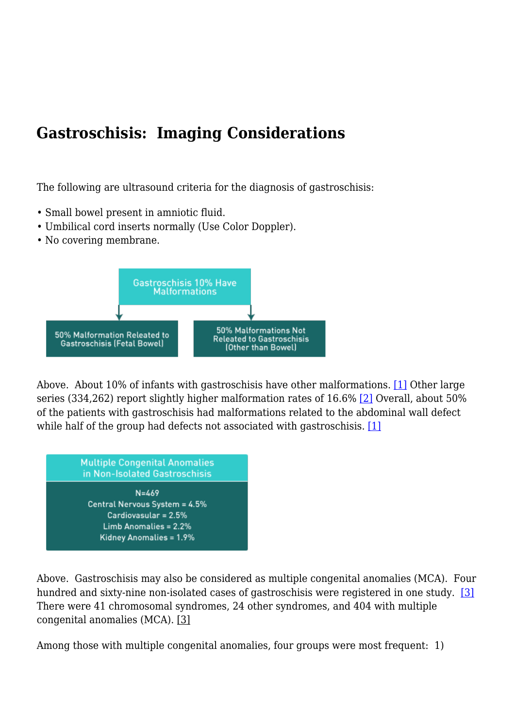## **Gastroschisis: Imaging Considerations**

The following are ultrasound criteria for the diagnosis of gastroschisis:

- Small bowel present in amniotic fluid.
- Umbilical cord inserts normally (Use Color Doppler).
- No covering membrane.



<span id="page-0-1"></span><span id="page-0-0"></span>Above. About 10% of infants with gastroschisis have other malformations. [\[1\]](#page-2-0) Other large series (334,262) report slightly higher malformation rates of 16.6% [\[2\]](#page-2-1) Overall, about 50% of the patients with gastroschisis had malformations related to the abdominal wall defect while half of the group had defects not associated with gastroschisis. [\[1\]](#page-2-0)



<span id="page-0-2"></span>Above. Gastroschisis may also be considered as multiple congenital anomalies (MCA). Four hundred and sixty-nine non-isolated cases of gastroschisis were registered in one study. [\[3\]](#page-2-2) There were 41 chromosomal syndromes, 24 other syndromes, and 404 with multiple congenital anomalies (MCA). [\[3\]](#page-2-2)

Among those with multiple congenital anomalies, four groups were most frequent: 1)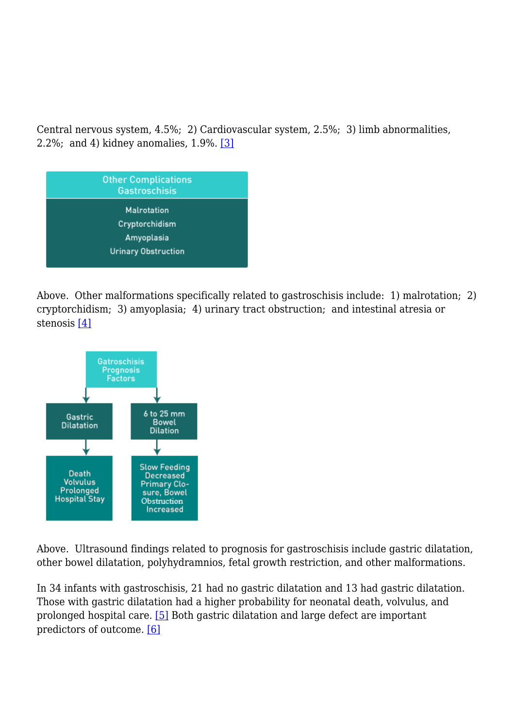Central nervous system, 4.5%; 2) Cardiovascular system, 2.5%; 3) limb abnormalities, 2.2%; and 4) kidney anomalies, 1.9%. [\[3\]](#page-2-2)



Above. Other malformations specifically related to gastroschisis include: 1) malrotation; 2) cryptorchidism; 3) amyoplasia; 4) urinary tract obstruction; and intestinal atresia or stenosis [\[4\]](#page-2-3)

<span id="page-1-0"></span>

Above. Ultrasound findings related to prognosis for gastroschisis include gastric dilatation, other bowel dilatation, polyhydramnios, fetal growth restriction, and other malformations.

<span id="page-1-2"></span><span id="page-1-1"></span>In 34 infants with gastroschisis, 21 had no gastric dilatation and 13 had gastric dilatation. Those with gastric dilatation had a higher probability for neonatal death, volvulus, and prolonged hospital care. [\[5\]](#page-2-4) Both gastric dilatation and large defect are important predictors of outcome. [\[6\]](#page-3-0)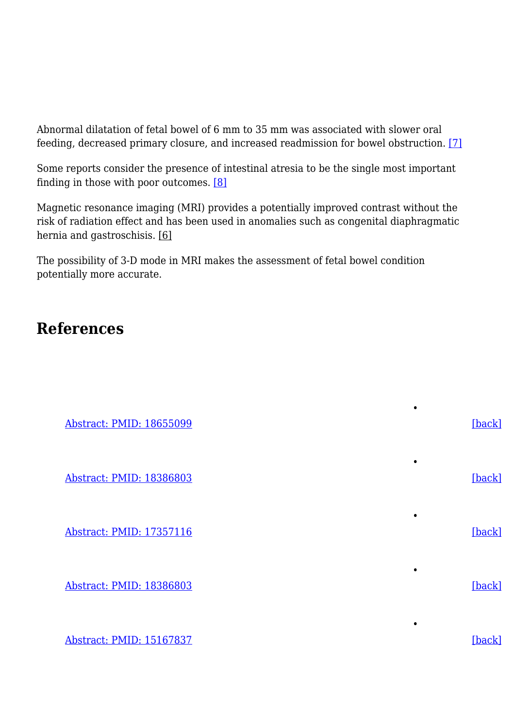<span id="page-2-5"></span>Abnormal dilatation of fetal bowel of 6 mm to 35 mm was associated with slower oral feeding, decreased primary closure, and increased readmission for bowel obstruction. [\[7\]](#page-3-1)

<span id="page-2-6"></span>Some reports consider the presence of intestinal atresia to be the single most important finding in those with poor outcomes. [\[8\]](#page-3-2)

Magnetic resonance imaging (MRI) provides a potentially improved contrast without the risk of radiation effect and has been used in anomalies such as congenital diaphragmatic hernia and gastroschisis. [\[6\]](#page-3-0)

The possibility of 3-D mode in MRI makes the assessment of fetal bowel condition potentially more accurate.

## **References**

<span id="page-2-2"></span><span id="page-2-1"></span><span id="page-2-0"></span>

| Abstract: PMID: 18655099 | [back]      |
|--------------------------|-------------|
| Abstract: PMID: 18386803 | ٠<br>[back] |
| Abstract: PMID: 17357116 | ٠<br>[back] |
| Abstract: PMID: 18386803 | ٠<br>[back] |
|                          | ٠           |

<span id="page-2-4"></span><span id="page-2-3"></span>[Abstract: PMID: 15167837](http://www.ncbi.nlm.nih.gov/pubmed/15167837) [\[back\]](#page-1-1)